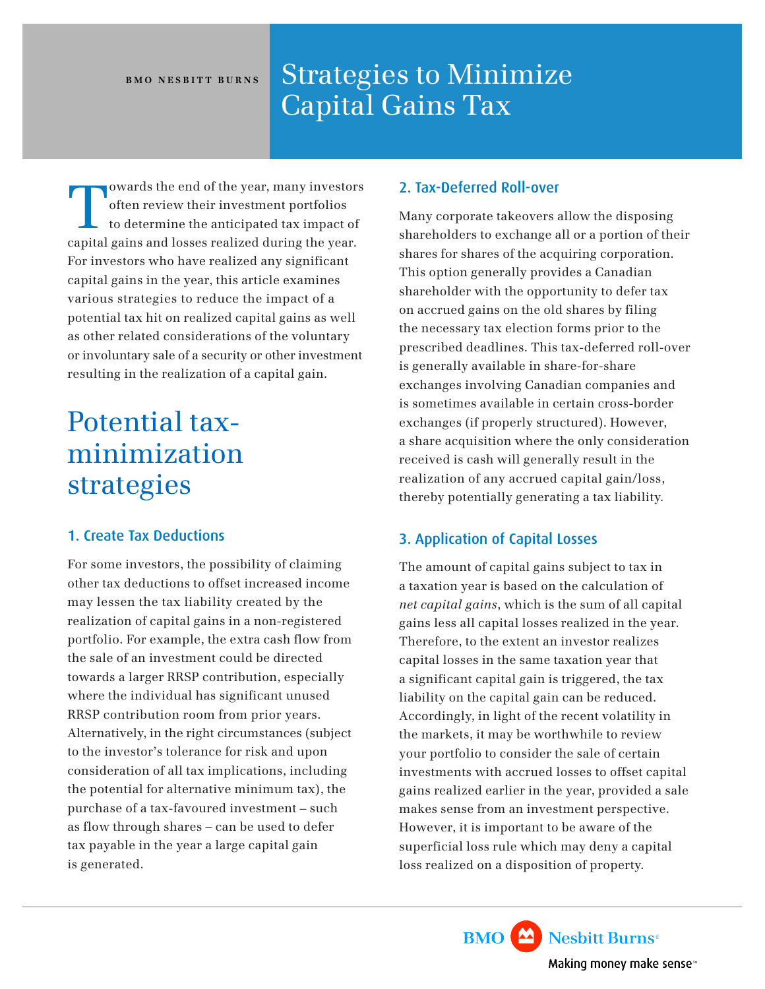### BMO NESBITT BURNS Strategies to Minimize Capital Gains Tax

owards the end of the year, many investors often review their investment portfolios to determine the anticipated tax impact of capital gains and losses realized during the year. For investors who have realized any significant capital gains in the year, this article examines various strategies to reduce the impact of a potential tax hit on realized capital gains as well as other related considerations of the voluntary or involuntary sale of a security or other investment resulting in the realization of a capital gain.

# Potential taxminimization strategies

#### 1. Create Tax Deductions

For some investors, the possibility of claiming other tax deductions to offset increased income may lessen the tax liability created by the realization of capital gains in a non-registered portfolio. For example, the extra cash flow from the sale of an investment could be directed towards a larger RRSP contribution, especially where the individual has significant unused RRSP contribution room from prior years. Alternatively, in the right circumstances (subject to the investor's tolerance for risk and upon consideration of all tax implications, including the potential for alternative minimum tax), the purchase of a tax-favoured investment – such as flow through shares – can be used to defer tax payable in the year a large capital gain is generated.

#### 2. Tax-Deferred Roll-over

Many corporate takeovers allow the disposing shareholders to exchange all or a portion of their shares for shares of the acquiring corporation. This option generally provides a Canadian shareholder with the opportunity to defer tax on accrued gains on the old shares by filing the necessary tax election forms prior to the prescribed deadlines. This tax-deferred roll-over is generally available in share-for-share exchanges involving Canadian companies and is sometimes available in certain cross-border exchanges (if properly structured). However, a share acquisition where the only consideration received is cash will generally result in the realization of any accrued capital gain/loss, thereby potentially generating a tax liability.

### 3. Application of Capital Losses

The amount of capital gains subject to tax in a taxation year is based on the calculation of *net capital gains*, which is the sum of all capital gains less all capital losses realized in the year. Therefore, to the extent an investor realizes capital losses in the same taxation year that a significant capital gain is triggered, the tax liability on the capital gain can be reduced. Accordingly, in light of the recent volatility in the markets, it may be worthwhile to review your portfolio to consider the sale of certain investments with accrued losses to offset capital gains realized earlier in the year, provided a sale makes sense from an investment perspective. However, it is important to be aware of the superficial loss rule which may deny a capital loss realized on a disposition of property.

> **BMO** Nesbitt Burns<sup>®</sup> Making money make sense<sup>®</sup>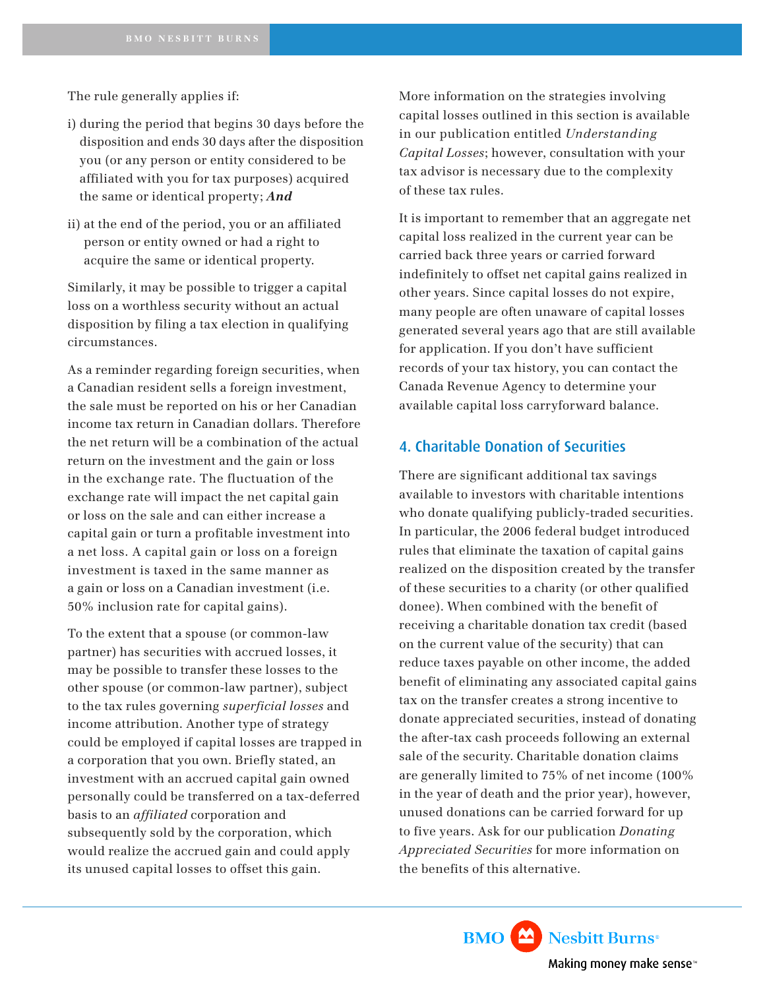The rule generally applies if:

- i) during the period that begins 30 days before the disposition and ends 30 days after the disposition you (or any person or entity considered to be affiliated with you for tax purposes) acquired the same or identical property; *And*
- ii) at the end of the period, you or an affiliated person or entity owned or had a right to acquire the same or identical property.

Similarly, it may be possible to trigger a capital loss on a worthless security without an actual disposition by filing a tax election in qualifying circumstances.

As a reminder regarding foreign securities, when a Canadian resident sells a foreign investment, the sale must be reported on his or her Canadian income tax return in Canadian dollars. Therefore the net return will be a combination of the actual return on the investment and the gain or loss in the exchange rate. The fluctuation of the exchange rate will impact the net capital gain or loss on the sale and can either increase a capital gain or turn a profitable investment into a net loss. A capital gain or loss on a foreign investment is taxed in the same manner as a gain or loss on a Canadian investment (i.e. 50% inclusion rate for capital gains).

To the extent that a spouse (or common-law partner) has securities with accrued losses, it may be possible to transfer these losses to the other spouse (or common-law partner), subject to the tax rules governing *superficial losses* and income attribution. Another type of strategy could be employed if capital losses are trapped in a corporation that you own. Briefly stated, an investment with an accrued capital gain owned personally could be transferred on a tax-deferred basis to an *affiliated* corporation and subsequently sold by the corporation, which would realize the accrued gain and could apply its unused capital losses to offset this gain.

More information on the strategies involving capital losses outlined in this section is available in our publication entitled *Understanding Capital Losses*; however, consultation with your tax advisor is necessary due to the complexity of these tax rules.

It is important to remember that an aggregate net capital loss realized in the current year can be carried back three years or carried forward indefinitely to offset net capital gains realized in other years. Since capital losses do not expire, many people are often unaware of capital losses generated several years ago that are still available for application. If you don't have sufficient records of your tax history, you can contact the Canada Revenue Agency to determine your available capital loss carryforward balance.

#### 4. Charitable Donation of Securities

There are significant additional tax savings available to investors with charitable intentions who donate qualifying publicly-traded securities. In particular, the 2006 federal budget introduced rules that eliminate the taxation of capital gains realized on the disposition created by the transfer of these securities to a charity (or other qualified donee). When combined with the benefit of receiving a charitable donation tax credit (based on the current value of the security) that can reduce taxes payable on other income, the added benefit of eliminating any associated capital gains tax on the transfer creates a strong incentive to donate appreciated securities, instead of donating the after-tax cash proceeds following an external sale of the security. Charitable donation claims are generally limited to 75% of net income (100% in the year of death and the prior year), however, unused donations can be carried forward for up to five years. Ask for our publication *Donating Appreciated Securities* for more information on the benefits of this alternative.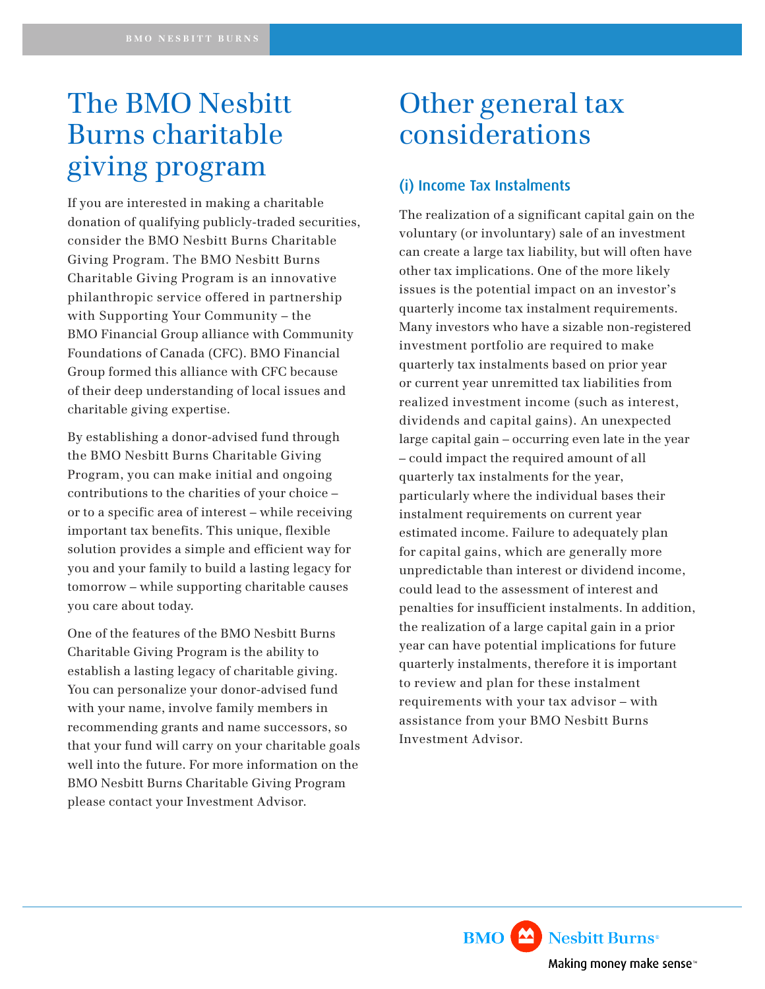## The BMO Nesbitt Burns charitable giving program

If you are interested in making a charitable donation of qualifying publicly-traded securities, consider the BMO Nesbitt Burns Charitable Giving Program. The BMO Nesbitt Burns Charitable Giving Program is an innovative philanthropic service offered in partnership with Supporting Your Community – the BMO Financial Group alliance with Community Foundations of Canada (CFC). BMO Financial Group formed this alliance with CFC because of their deep understanding of local issues and charitable giving expertise.

By establishing a donor-advised fund through the BMO Nesbitt Burns Charitable Giving Program, you can make initial and ongoing contributions to the charities of your choice – or to a specific area of interest – while receiving important tax benefits. This unique, flexible solution provides a simple and efficient way for you and your family to build a lasting legacy for tomorrow – while supporting charitable causes you care about today.

One of the features of the BMO Nesbitt Burns Charitable Giving Program is the ability to establish a lasting legacy of charitable giving. You can personalize your donor-advised fund with your name, involve family members in recommending grants and name successors, so that your fund will carry on your charitable goals well into the future. For more information on the BMO Nesbitt Burns Charitable Giving Program please contact your Investment Advisor.

## Other general tax considerations

### (i) Income Tax Instalments

The realization of a significant capital gain on the voluntary (or involuntary) sale of an investment can create a large tax liability, but will often have other tax implications. One of the more likely issues is the potential impact on an investor's quarterly income tax instalment requirements. Many investors who have a sizable non-registered investment portfolio are required to make quarterly tax instalments based on prior year or current year unremitted tax liabilities from realized investment income (such as interest, dividends and capital gains). An unexpected large capital gain – occurring even late in the year – could impact the required amount of all quarterly tax instalments for the year, particularly where the individual bases their instalment requirements on current year estimated income. Failure to adequately plan for capital gains, which are generally more unpredictable than interest or dividend income, could lead to the assessment of interest and penalties for insufficient instalments. In addition, the realization of a large capital gain in a prior year can have potential implications for future quarterly instalments, therefore it is important to review and plan for these instalment requirements with your tax advisor – with assistance from your BMO Nesbitt Burns Investment Advisor.

> **BMO** Nesbitt Burns<sup>®</sup> Making money make sense<sup>®</sup>